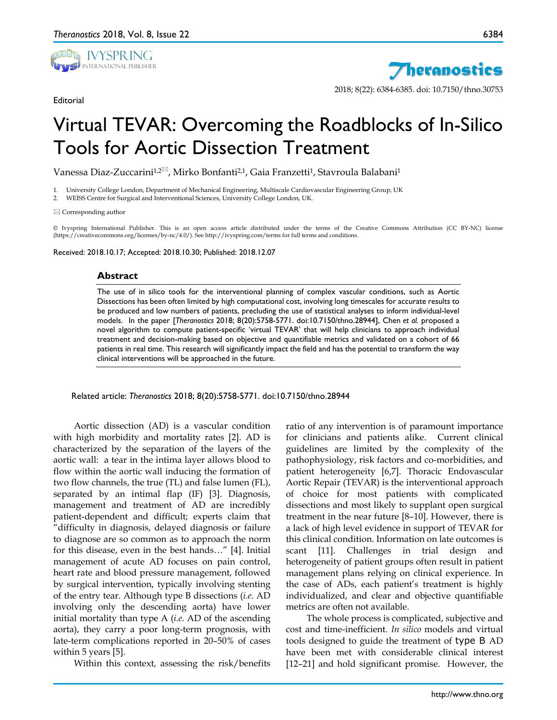

**Editorial** 



2018; 8(22): 6384-6385. doi: 10.7150/thno.30753

## Virtual TEVAR: Overcoming the Roadblocks of In-Silico Tools for Aortic Dissection Treatment

Vanessa Diaz-Zuccarini<sup>1,2⊠</sup>, Mirko Bonfanti<sup>2,1</sup>, Gaia Franzetti<sup>1</sup>, Stavroula Balabani<sup>1</sup>

1. University College London, Department of Mechanical Engineering, Multiscale Cardiovascular Engineering Group, UK

2. WEISS Centre for Surgical and Interventional Sciences, University College London, UK.

 $\boxtimes$  Corresponding author

© Ivyspring International Publisher. This is an open access article distributed under the terms of the Creative Commons Attribution (CC BY-NC) license (https://creativecommons.org/licenses/by-nc/4.0/). See http://ivyspring.com/terms for full terms and conditions.

Received: 2018.10.17; Accepted: 2018.10.30; Published: 2018.12.07

## **Abstract**

The use of in silico tools for the interventional planning of complex vascular conditions, such as Aortic Dissections has been often limited by high computational cost, involving long timescales for accurate results to be produced and low numbers of patients, precluding the use of statistical analyses to inform individual-level models. In the paper [*Theranostics* 2018; 8(20):5758-5771. doi:10.7150/thno.28944], Chen *et al.* proposed a novel algorithm to compute patient-specific 'virtual TEVAR' that will help clinicians to approach individual treatment and decision-making based on objective and quantifiable metrics and validated on a cohort of 66 patients in real time. This research will significantly impact the field and has the potential to transform the way clinical interventions will be approached in the future.

Related article: *Theranostics* 2018; 8(20):5758-5771. doi:10.7150/thno.28944

Aortic dissection (AD) is a vascular condition with high morbidity and mortality rates [2]. AD is characterized by the separation of the layers of the aortic wall: a tear in the intima layer allows blood to flow within the aortic wall inducing the formation of two flow channels, the true (TL) and false lumen (FL), separated by an intimal flap (IF) [3]. Diagnosis, management and treatment of AD are incredibly patient-dependent and difficult; experts claim that "difficulty in diagnosis, delayed diagnosis or failure to diagnose are so common as to approach the norm for this disease, even in the best hands…" [4]. Initial management of acute AD focuses on pain control, heart rate and blood pressure management, followed by surgical intervention, typically involving stenting of the entry tear. Although type B dissections (*i.e.* AD involving only the descending aorta) have lower initial mortality than type A (*i.e.* AD of the ascending aorta), they carry a poor long-term prognosis, with late-term complications reported in 20–50% of cases within 5 years [5].

Within this context, assessing the risk/benefits

ratio of any intervention is of paramount importance for clinicians and patients alike. Current clinical guidelines are limited by the complexity of the pathophysiology, risk factors and co-morbidities, and patient heterogeneity [6,7]. Thoracic Endovascular Aortic Repair (TEVAR) is the interventional approach of choice for most patients with complicated dissections and most likely to supplant open surgical treatment in the near future [8–10]. However, there is a lack of high level evidence in support of TEVAR for this clinical condition. Information on late outcomes is scant [11]. Challenges in trial design and heterogeneity of patient groups often result in patient management plans relying on clinical experience. In the case of ADs, each patient's treatment is highly individualized, and clear and objective quantifiable metrics are often not available.

The whole process is complicated, subjective and cost and time-inefficient. *In silico* models and virtual tools designed to guide the treatment of type B AD have been met with considerable clinical interest [12–21] and hold significant promise. However, the